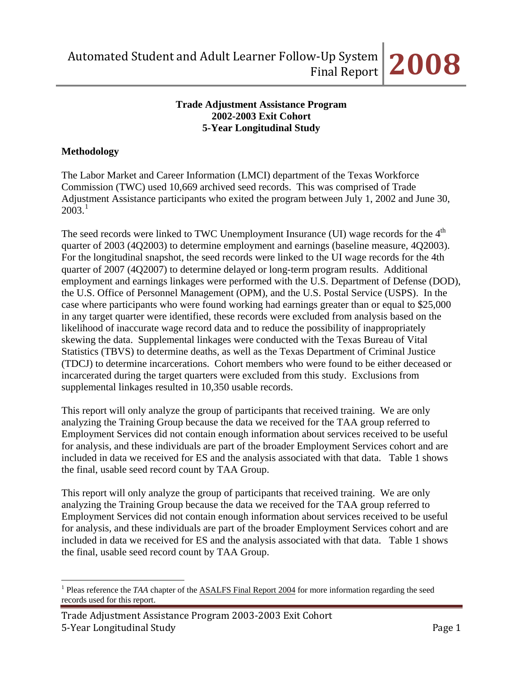## **Trade Adjustment Assistance Program 2002-2003 Exit Cohort 5-Year Longitudinal Study**

# **Methodology**

The Labor Market and Career Information (LMCI) department of the Texas Workforce Commission (TWC) used 10,669 archived seed records. This was comprised of Trade Adjustment Assistance participants who exited the program between July 1, 2002 and June 30,  $2003.<sup>1</sup>$  $2003.<sup>1</sup>$  $2003.<sup>1</sup>$ 

The seed records were linked to TWC Unemployment Insurance (UI) wage records for the 4<sup>th</sup> quarter of 2003 (4Q2003) to determine employment and earnings (baseline measure, 4Q2003). For the longitudinal snapshot, the seed records were linked to the UI wage records for the 4th quarter of 2007 (4Q2007) to determine delayed or long-term program results. Additional employment and earnings linkages were performed with the U.S. Department of Defense (DOD), the U.S. Office of Personnel Management (OPM), and the U.S. Postal Service (USPS). In the case where participants who were found working had earnings greater than or equal to \$25,000 in any target quarter were identified, these records were excluded from analysis based on the likelihood of inaccurate wage record data and to reduce the possibility of inappropriately skewing the data. Supplemental linkages were conducted with the Texas Bureau of Vital Statistics (TBVS) to determine deaths, as well as the Texas Department of Criminal Justice (TDCJ) to determine incarcerations. Cohort members who were found to be either deceased or incarcerated during the target quarters were excluded from this study. Exclusions from supplemental linkages resulted in 10,350 usable records.

This report will only analyze the group of participants that received training. We are only analyzing the Training Group because the data we received for the TAA group referred to Employment Services did not contain enough information about services received to be useful for analysis, and these individuals are part of the broader Employment Services cohort and are included in data we received for ES and the analysis associated with that data. Table 1 shows the final, usable seed record count by TAA Group.

This report will only analyze the group of participants that received training. We are only analyzing the Training Group because the data we received for the TAA group referred to Employment Services did not contain enough information about services received to be useful for analysis, and these individuals are part of the broader Employment Services cohort and are included in data we received for ES and the analysis associated with that data. Table 1 shows the final, usable seed record count by TAA Group.

<span id="page-0-0"></span> $\overline{a}$ <sup>1</sup> Pleas reference the *TAA* chapter of the **ASALFS** Final Report 2004 for more information regarding the seed records used for this report.

Trade Adjustment Assistance Program 2003‐2003 Exit Cohort 5‐Year Longitudinal Study Page 1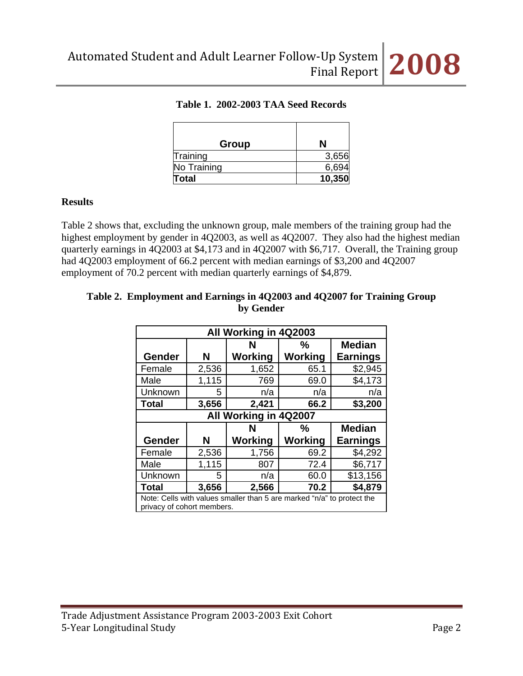

# **Table 1. 2002-2003 TAA Seed Records**

| Group        |        |
|--------------|--------|
| Training     | 3,656  |
| No Training  | 6,694  |
| <b>Total</b> | 10,350 |

#### **Results**

Table 2 shows that, excluding the unknown group, male members of the training group had the highest employment by gender in 4Q2003, as well as 4Q2007. They also had the highest median quarterly earnings in 4Q2003 at \$4,173 and in 4Q2007 with \$6,717. Overall, the Training group had 4Q2003 employment of 66.2 percent with median earnings of \$3,200 and 4Q2007 employment of 70.2 percent with median quarterly earnings of \$4,879.

## **Table 2. Employment and Earnings in 4Q2003 and 4Q2007 for Training Group by Gender**

| All Working in 4Q2003                                                                                |                         |                |                |                 |  |  |  |
|------------------------------------------------------------------------------------------------------|-------------------------|----------------|----------------|-----------------|--|--|--|
|                                                                                                      |                         | N              | $\frac{0}{0}$  | <b>Median</b>   |  |  |  |
| Gender                                                                                               | N                       | <b>Working</b> | <b>Working</b> | <b>Earnings</b> |  |  |  |
| Female                                                                                               | 2,536                   | 1,652          | 65.1           | \$2,945         |  |  |  |
| Male                                                                                                 | 1,115                   | 769            | 69.0           | \$4,173         |  |  |  |
| Unknown                                                                                              | 5                       | n/a            | n/a            | n/a             |  |  |  |
| <b>Total</b>                                                                                         | 3,656                   | 2,421          | 66.2           | \$3,200         |  |  |  |
| All Working in 4Q2007                                                                                |                         |                |                |                 |  |  |  |
|                                                                                                      | <b>Median</b><br>℅<br>N |                |                |                 |  |  |  |
| Gender                                                                                               | N                       | Working        | <b>Working</b> | <b>Earnings</b> |  |  |  |
| Female                                                                                               | 2,536                   | 1,756          | 69.2           | \$4,292         |  |  |  |
| Male                                                                                                 | 1,115                   | 807            | 72.4           | \$6,717         |  |  |  |
| Unknown                                                                                              | 5                       | n/a            | 60.0           | \$13,156        |  |  |  |
| Total                                                                                                | 3,656                   | 2,566          | 70.2           | \$4,879         |  |  |  |
| Note: Cells with values smaller than 5 are marked "n/a" to protect the<br>privacy of cohort members. |                         |                |                |                 |  |  |  |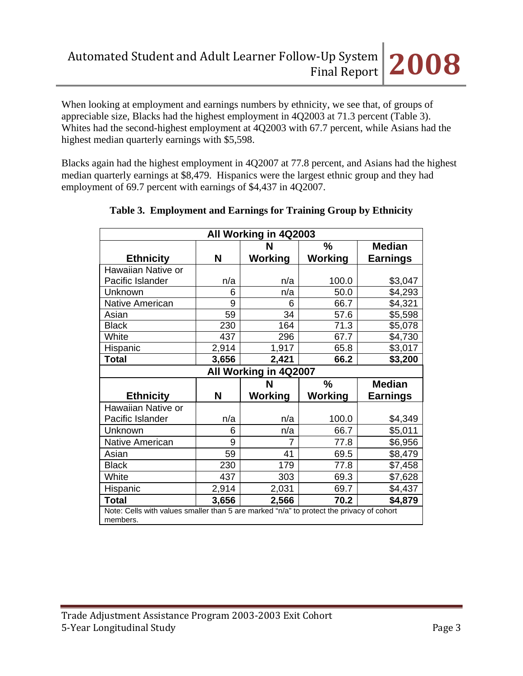When looking at employment and earnings numbers by ethnicity, we see that, of groups of appreciable size, Blacks had the highest employment in 4Q2003 at 71.3 percent (Table 3). Whites had the second-highest employment at 4Q2003 with 67.7 percent, while Asians had the highest median quarterly earnings with \$5,598.

Blacks again had the highest employment in 4Q2007 at 77.8 percent, and Asians had the highest median quarterly earnings at \$8,479. Hispanics were the largest ethnic group and they had employment of 69.7 percent with earnings of \$4,437 in 4Q2007.

| All Working in 4Q2003  |       |                |               |                 |  |  |
|------------------------|-------|----------------|---------------|-----------------|--|--|
|                        |       | N              | $\frac{0}{0}$ | <b>Median</b>   |  |  |
| <b>Ethnicity</b>       | N     | Working        | Working       | <b>Earnings</b> |  |  |
| Hawaiian Native or     |       |                |               |                 |  |  |
| Pacific Islander       | n/a   | n/a            | 100.0         | \$3,047         |  |  |
| Unknown                | 6     | n/a            | 50.0          | \$4,293         |  |  |
| <b>Native American</b> | 9     | 6              | 66.7          | \$4,321         |  |  |
| Asian                  | 59    | 34             | 57.6          | \$5,598         |  |  |
| <b>Black</b>           | 230   | 164            | 71.3          | \$5,078         |  |  |
| White                  | 437   | 296            | 67.7          | \$4,730         |  |  |
| Hispanic               | 2,914 | 1,917          | 65.8          | \$3,017         |  |  |
| <b>Total</b>           | 3,656 | 2,421          | 66.2          | \$3,200         |  |  |
| All Working in 4Q2007  |       |                |               |                 |  |  |
|                        |       |                |               |                 |  |  |
|                        |       | N              | %             | <b>Median</b>   |  |  |
| <b>Ethnicity</b>       | N     | Working        | Working       | <b>Earnings</b> |  |  |
| Hawaiian Native or     |       |                |               |                 |  |  |
| Pacific Islander       | n/a   | n/a            | 100.0         | \$4,349         |  |  |
| Unknown                | 6     | n/a            | 66.7          | \$5,011         |  |  |
| <b>Native American</b> | 9     | $\overline{7}$ | 77.8          | \$6,956         |  |  |
| Asian                  | 59    | 41             | 69.5          | \$8,479         |  |  |
| <b>Black</b>           | 230   | 179            | 77.8          | \$7,458         |  |  |
| White                  | 437   | 303            | 69.3          | \$7,628         |  |  |
| Hispanic               | 2,914 | 2,031          | 69.7          | \$4,437         |  |  |
| <b>Total</b>           | 3,656 | 2,566          | 70.2          | \$4,879         |  |  |

# **Table 3. Employment and Earnings for Training Group by Ethnicity**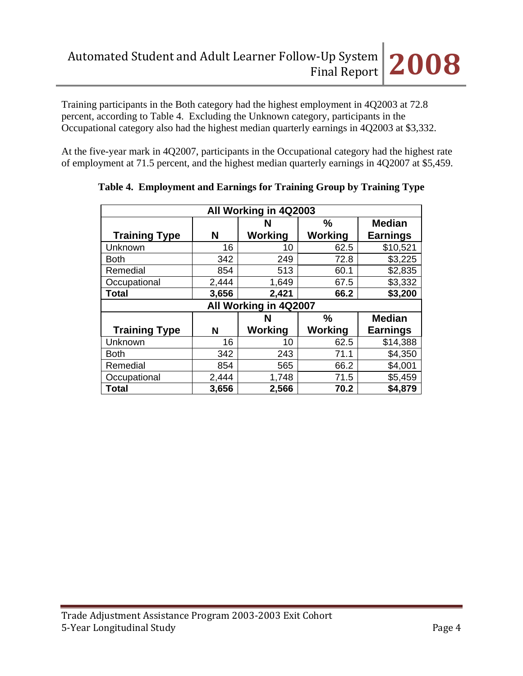Training participants in the Both category had the highest employment in 4Q2003 at 72.8 percent, according to Table 4. Excluding the Unknown category, participants in the Occupational category also had the highest median quarterly earnings in 4Q2003 at \$3,332.

At the five-year mark in 4Q2007, participants in the Occupational category had the highest rate of employment at 71.5 percent, and the highest median quarterly earnings in 4Q2007 at \$5,459.

| All Working in 4Q2003 |                    |                |               |                 |  |  |
|-----------------------|--------------------|----------------|---------------|-----------------|--|--|
|                       | $\frac{0}{0}$<br>N |                |               | <b>Median</b>   |  |  |
| <b>Training Type</b>  | N                  | <b>Working</b> | Working       | <b>Earnings</b> |  |  |
| Unknown               | 16                 | 10             | 62.5          | \$10,521        |  |  |
| <b>Both</b>           | 342                | 249            | 72.8          | \$3,225         |  |  |
| Remedial              | 854                | 513            | 60.1          | \$2,835         |  |  |
| Occupational          | 2,444              | 1,649          | 67.5          | \$3,332         |  |  |
| <b>Total</b>          | 3,656              | 2,421          | 66.2          | \$3,200         |  |  |
| All Working in 4Q2007 |                    |                |               |                 |  |  |
|                       |                    |                |               |                 |  |  |
|                       |                    | N              | $\frac{0}{0}$ | <b>Median</b>   |  |  |
| <b>Training Type</b>  | N                  | Working        | Working       | <b>Earnings</b> |  |  |
| Unknown               | 16                 | 10             | 62.5          | \$14,388        |  |  |
| <b>Both</b>           | 342                | 243            | 71.1          | \$4,350         |  |  |
| Remedial              | 854                | 565            | 66.2          | \$4,001         |  |  |
| Occupational          | 2,444              | 1,748          | 71.5          | \$5,459         |  |  |

**Table 4. Employment and Earnings for Training Group by Training Type**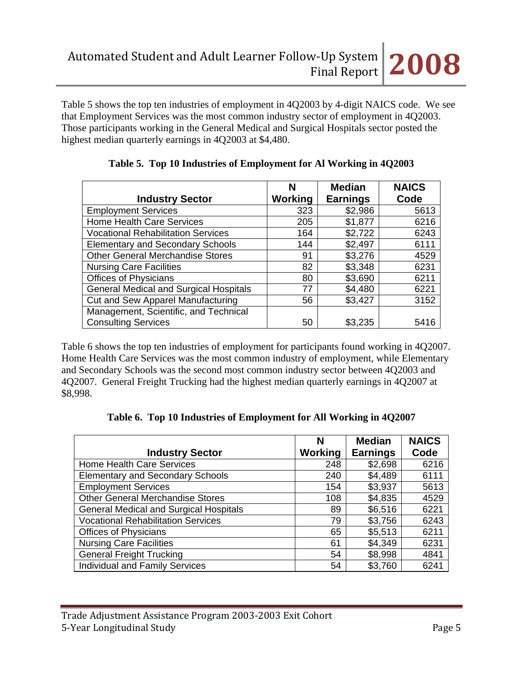Table 5 shows the top ten industries of employment in 4Q2003 by 4-digit NAICS code. We see that Employment Services was the most common industry sector of employment in 4Q2003. Those participants working in the General Medical and Surgical Hospitals sector posted the highest median quarterly earnings in 4Q2003 at \$4,480.

|                                               | N       | <b>Median</b>   | <b>NAICS</b> |
|-----------------------------------------------|---------|-----------------|--------------|
| <b>Industry Sector</b>                        | Working | <b>Earnings</b> | Code         |
| <b>Employment Services</b>                    | 323     | \$2,986         | 5613         |
| <b>Home Health Care Services</b>              | 205     | \$1,877         | 6216         |
| <b>Vocational Rehabilitation Services</b>     | 164     | \$2,722         | 6243         |
| <b>Elementary and Secondary Schools</b>       | 144     | \$2,497         | 6111         |
| <b>Other General Merchandise Stores</b>       | 91      | \$3,276         | 4529         |
| <b>Nursing Care Facilities</b>                | 82      | \$3,348         | 6231         |
| <b>Offices of Physicians</b>                  | 80      | \$3,690         | 6211         |
| <b>General Medical and Surgical Hospitals</b> | 77      | \$4,480         | 6221         |
| Cut and Sew Apparel Manufacturing             | 56      | \$3,427         | 3152         |
| Management, Scientific, and Technical         |         |                 |              |
| <b>Consulting Services</b>                    | 50      | \$3,235         | 5416         |

**Table 5. Top 10 Industries of Employment for Al Working in 4Q2003**

Table 6 shows the top ten industries of employment for participants found working in 4Q2007. Home Health Care Services was the most common industry of employment, while Elementary and Secondary Schools was the second most common industry sector between 4Q2003 and 4Q2007. General Freight Trucking had the highest median quarterly earnings in 4Q2007 at \$8,998.

|                                               | N       | <b>Median</b>   | <b>NAICS</b> |
|-----------------------------------------------|---------|-----------------|--------------|
| <b>Industry Sector</b>                        | Working | <b>Earnings</b> | Code         |
| Home Health Care Services                     | 248     | \$2,698         | 6216         |
| <b>Elementary and Secondary Schools</b>       | 240     | \$4,489         | 6111         |
| <b>Employment Services</b>                    | 154     | \$3,937         | 5613         |
| <b>Other General Merchandise Stores</b>       | 108     | \$4,835         | 4529         |
| <b>General Medical and Surgical Hospitals</b> | 89      | \$6,516         | 6221         |
| <b>Vocational Rehabilitation Services</b>     | 79      | \$3,756         | 6243         |
| <b>Offices of Physicians</b>                  | 65      | \$5,513         | 6211         |
| <b>Nursing Care Facilities</b>                | 61      | \$4,349         | 6231         |
| <b>General Freight Trucking</b>               | 54      | \$8,998         | 4841         |
| <b>Individual and Family Services</b>         | 54      | \$3,760         | 6241         |